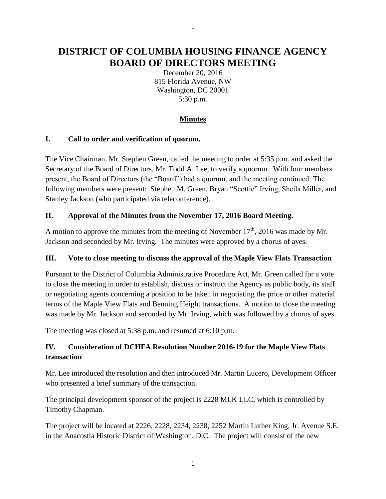# **DISTRICT OF COLUMBIA HOUSING FINANCE AGENCY BOARD OF DIRECTORS MEETING**

December 20, 2016 815 Florida Avenue, NW Washington, DC 20001 5:30 p.m.

### **Minutes**

#### **I. Call to order and verification of quorum.**

The Vice Chairman, Mr. Stephen Green, called the meeting to order at 5:35 p.m. and asked the Secretary of the Board of Directors, Mr. Todd A. Lee, to verify a quorum. With four members present, the Board of Directors (the "Board") had a quorum, and the meeting continued. The following members were present: Stephen M. Green, Bryan "Scottie" Irving, Sheila Miller, and Stanley Jackson (who participated via teleconference).

### **II. Approval of the Minutes from the November 17, 2016 Board Meeting.**

A motion to approve the minutes from the meeting of November  $17<sup>th</sup>$ , 2016 was made by Mr. Jackson and seconded by Mr. Irving. The minutes were approved by a chorus of ayes.

#### **III. Vote to close meeting to discuss the approval of the Maple View Flats Transaction**

Pursuant to the District of Columbia Administrative Procedure Act, Mr. Green called for a vote to close the meeting in order to establish, discuss or instruct the Agency as public body, its staff or negotiating agents concerning a position to be taken in negotiating the price or other material terms of the Maple View Flats and Benning Height transactions. A motion to close the meeting was made by Mr. Jackson and seconded by Mr. Irving, which was followed by a chorus of ayes.

The meeting was closed at 5:38 p.m. and resumed at 6:10 p.m.

### **IV. Consideration of DCHFA Resolution Number 2016-19 for the Maple View Flats transaction**

Mr. Lee introduced the resolution and then introduced Mr. Martin Lucero, Development Officer who presented a brief summary of the transaction.

The principal development sponsor of the project is 2228 MLK LLC, which is controlled by Timothy Chapman.

The project will be located at 2226, 2228, 2234, 2238, 2252 Martin Luther King, Jr. Avenue S.E. in the Anacostia Historic District of Washington, D.C. The project will consist of the new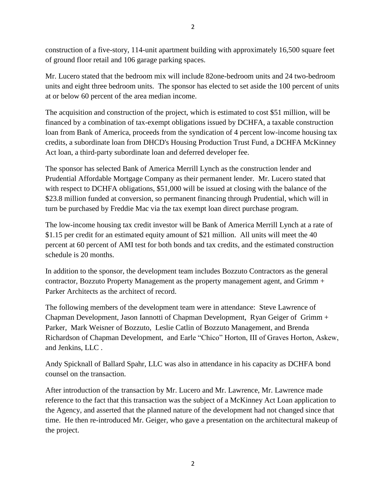construction of a five-story, 114-unit apartment building with approximately 16,500 square feet of ground floor retail and 106 garage parking spaces.

Mr. Lucero stated that the bedroom mix will include 82one-bedroom units and 24 two-bedroom units and eight three bedroom units. The sponsor has elected to set aside the 100 percent of units at or below 60 percent of the area median income.

The acquisition and construction of the project, which is estimated to cost \$51 million, will be financed by a combination of tax-exempt obligations issued by DCHFA, a taxable construction loan from Bank of America, proceeds from the syndication of 4 percent low-income housing tax credits, a subordinate loan from DHCD's Housing Production Trust Fund, a DCHFA McKinney Act loan, a third-party subordinate loan and deferred developer fee.

The sponsor has selected Bank of America Merrill Lynch as the construction lender and Prudential Affordable Mortgage Company as their permanent lender. Mr. Lucero stated that with respect to DCHFA obligations, \$51,000 will be issued at closing with the balance of the \$23.8 million funded at conversion, so permanent financing through Prudential, which will in turn be purchased by Freddie Mac via the tax exempt loan direct purchase program.

The low-income housing tax credit investor will be Bank of America Merrill Lynch at a rate of \$1.15 per credit for an estimated equity amount of \$21 million. All units will meet the 40 percent at 60 percent of AMI test for both bonds and tax credits, and the estimated construction schedule is 20 months.

In addition to the sponsor, the development team includes Bozzuto Contractors as the general contractor, Bozzuto Property Management as the property management agent, and Grimm + Parker Architects as the architect of record.

The following members of the development team were in attendance: Steve Lawrence of Chapman Development, Jason Iannotti of Chapman Development, Ryan Geiger of Grimm + Parker, Mark Weisner of Bozzuto, Leslie Catlin of Bozzuto Management, and Brenda Richardson of Chapman Development, and Earle "Chico" Horton, III of Graves Horton, Askew, and Jenkins, LLC .

Andy Spicknall of Ballard Spahr, LLC was also in attendance in his capacity as DCHFA bond counsel on the transaction.

After introduction of the transaction by Mr. Lucero and Mr. Lawrence, Mr. Lawrence made reference to the fact that this transaction was the subject of a McKinney Act Loan application to the Agency, and asserted that the planned nature of the development had not changed since that time. He then re-introduced Mr. Geiger, who gave a presentation on the architectural makeup of the project.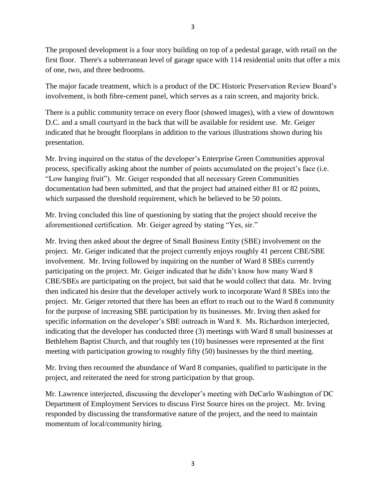The proposed development is a four story building on top of a pedestal garage, with retail on the first floor. There's a subterranean level of garage space with 114 residential units that offer a mix of one, two, and three bedrooms.

The major facade treatment, which is a product of the DC Historic Preservation Review Board's involvement, is both fibre-cement panel, which serves as a rain screen, and majority brick.

There is a public community terrace on every floor (showed images), with a view of downtown D.C. and a small courtyard in the back that will be available for resident use. Mr. Geiger indicated that he brought floorplans in addition to the various illustrations shown during his presentation.

Mr. Irving inquired on the status of the developer's Enterprise Green Communities approval process, specifically asking about the number of points accumulated on the project's face (i.e. "Low hanging fruit"). Mr. Geiger responded that all necessary Green Communities documentation had been submitted, and that the project had attained either 81 or 82 points, which surpassed the threshold requirement, which he believed to be 50 points.

Mr. Irving concluded this line of questioning by stating that the project should receive the aforementioned certification. Mr. Geiger agreed by stating "Yes, sir."

Mr. Irving then asked about the degree of Small Business Entity (SBE) involvement on the project. Mr. Geiger indicated that the project currently enjoys roughly 41 percent CBE/SBE involvement. Mr. Irving followed by inquiring on the number of Ward 8 SBEs currently participating on the project. Mr. Geiger indicated that he didn't know how many Ward 8 CBE/SBEs are participating on the project, but said that he would collect that data. Mr. Irving then indicated his desire that the developer actively work to incorporate Ward 8 SBEs into the project. Mr. Geiger retorted that there has been an effort to reach out to the Ward 8 community for the purpose of increasing SBE participation by its businesses. Mr. Irving then asked for specific information on the developer's SBE outreach in Ward 8. Ms. Richardson interjected, indicating that the developer has conducted three (3) meetings with Ward 8 small businesses at Bethlehem Baptist Church, and that roughly ten (10) businesses were represented at the first meeting with participation growing to roughly fifty (50) businesses by the third meeting.

Mr. Irving then recounted the abundance of Ward 8 companies, qualified to participate in the project, and reiterated the need for strong participation by that group.

Mr. Lawrence interjected, discussing the developer's meeting with DeCarlo Washington of DC Department of Employment Services to discuss First Source hires on the project. Mr. Irving responded by discussing the transformative nature of the project, and the need to maintain momentum of local/community hiring.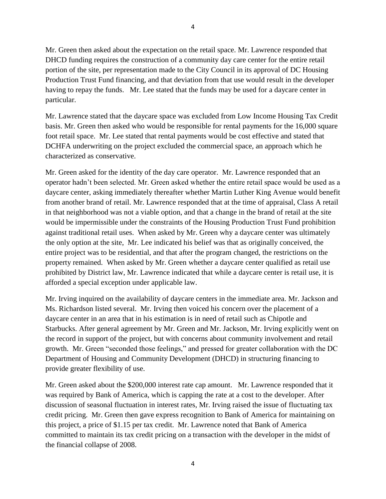Mr. Green then asked about the expectation on the retail space. Mr. Lawrence responded that DHCD funding requires the construction of a community day care center for the entire retail portion of the site, per representation made to the City Council in its approval of DC Housing Production Trust Fund financing, and that deviation from that use would result in the developer having to repay the funds. Mr. Lee stated that the funds may be used for a daycare center in particular.

Mr. Lawrence stated that the daycare space was excluded from Low Income Housing Tax Credit basis. Mr. Green then asked who would be responsible for rental payments for the 16,000 square foot retail space. Mr. Lee stated that rental payments would be cost effective and stated that DCHFA underwriting on the project excluded the commercial space, an approach which he characterized as conservative.

Mr. Green asked for the identity of the day care operator. Mr. Lawrence responded that an operator hadn't been selected. Mr. Green asked whether the entire retail space would be used as a daycare center, asking immediately thereafter whether Martin Luther King Avenue would benefit from another brand of retail. Mr. Lawrence responded that at the time of appraisal, Class A retail in that neighborhood was not a viable option, and that a change in the brand of retail at the site would be impermissible under the constraints of the Housing Production Trust Fund prohibition against traditional retail uses. When asked by Mr. Green why a daycare center was ultimately the only option at the site, Mr. Lee indicated his belief was that as originally conceived, the entire project was to be residential, and that after the program changed, the restrictions on the property remained. When asked by Mr. Green whether a daycare center qualified as retail use prohibited by District law, Mr. Lawrence indicated that while a daycare center is retail use, it is afforded a special exception under applicable law.

Mr. Irving inquired on the availability of daycare centers in the immediate area. Mr. Jackson and Ms. Richardson listed several. Mr. Irving then voiced his concern over the placement of a daycare center in an area that in his estimation is in need of retail such as Chipotle and Starbucks. After general agreement by Mr. Green and Mr. Jackson, Mr. Irving explicitly went on the record in support of the project, but with concerns about community involvement and retail growth. Mr. Green "seconded those feelings," and pressed for greater collaboration with the DC Department of Housing and Community Development (DHCD) in structuring financing to provide greater flexibility of use.

Mr. Green asked about the \$200,000 interest rate cap amount. Mr. Lawrence responded that it was required by Bank of America, which is capping the rate at a cost to the developer. After discussion of seasonal fluctuation in interest rates, Mr. Irving raised the issue of fluctuating tax credit pricing. Mr. Green then gave express recognition to Bank of America for maintaining on this project, a price of \$1.15 per tax credit. Mr. Lawrence noted that Bank of America committed to maintain its tax credit pricing on a transaction with the developer in the midst of the financial collapse of 2008.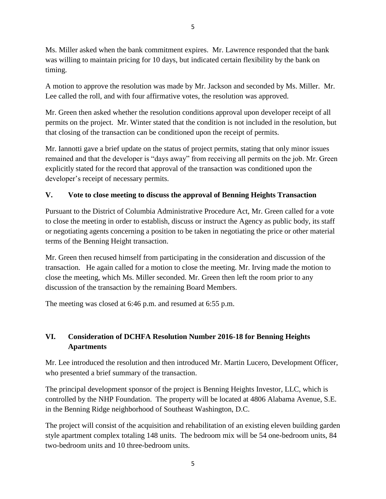Ms. Miller asked when the bank commitment expires. Mr. Lawrence responded that the bank was willing to maintain pricing for 10 days, but indicated certain flexibility by the bank on timing.

A motion to approve the resolution was made by Mr. Jackson and seconded by Ms. Miller. Mr. Lee called the roll, and with four affirmative votes, the resolution was approved.

Mr. Green then asked whether the resolution conditions approval upon developer receipt of all permits on the project. Mr. Winter stated that the condition is not included in the resolution, but that closing of the transaction can be conditioned upon the receipt of permits.

Mr. Iannotti gave a brief update on the status of project permits, stating that only minor issues remained and that the developer is "days away" from receiving all permits on the job. Mr. Green explicitly stated for the record that approval of the transaction was conditioned upon the developer's receipt of necessary permits.

### **V. Vote to close meeting to discuss the approval of Benning Heights Transaction**

Pursuant to the District of Columbia Administrative Procedure Act, Mr. Green called for a vote to close the meeting in order to establish, discuss or instruct the Agency as public body, its staff or negotiating agents concerning a position to be taken in negotiating the price or other material terms of the Benning Height transaction.

Mr. Green then recused himself from participating in the consideration and discussion of the transaction. He again called for a motion to close the meeting. Mr. Irving made the motion to close the meeting, which Ms. Miller seconded. Mr. Green then left the room prior to any discussion of the transaction by the remaining Board Members.

The meeting was closed at 6:46 p.m. and resumed at 6:55 p.m.

### **VI. Consideration of DCHFA Resolution Number 2016-18 for Benning Heights Apartments**

Mr. Lee introduced the resolution and then introduced Mr. Martin Lucero, Development Officer, who presented a brief summary of the transaction.

The principal development sponsor of the project is Benning Heights Investor, LLC, which is controlled by the NHP Foundation. The property will be located at 4806 Alabama Avenue, S.E. in the Benning Ridge neighborhood of Southeast Washington, D.C.

The project will consist of the acquisition and rehabilitation of an existing eleven building garden style apartment complex totaling 148 units. The bedroom mix will be 54 one-bedroom units, 84 two-bedroom units and 10 three-bedroom units.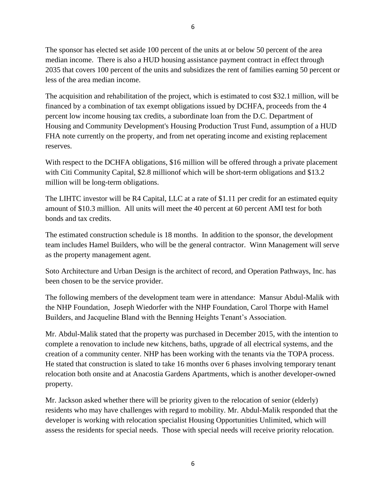The sponsor has elected set aside 100 percent of the units at or below 50 percent of the area median income. There is also a HUD housing assistance payment contract in effect through 2035 that covers 100 percent of the units and subsidizes the rent of families earning 50 percent or less of the area median income.

The acquisition and rehabilitation of the project, which is estimated to cost \$32.1 million, will be financed by a combination of tax exempt obligations issued by DCHFA, proceeds from the 4 percent low income housing tax credits, a subordinate loan from the D.C. Department of Housing and Community Development's Housing Production Trust Fund, assumption of a HUD FHA note currently on the property, and from net operating income and existing replacement reserves.

With respect to the DCHFA obligations, \$16 million will be offered through a private placement with Citi Community Capital, \$2.8 millionof which will be short-term obligations and \$13.2 million will be long-term obligations.

The LIHTC investor will be R4 Capital, LLC at a rate of \$1.11 per credit for an estimated equity amount of \$10.3 million. All units will meet the 40 percent at 60 percent AMI test for both bonds and tax credits.

The estimated construction schedule is 18 months. In addition to the sponsor, the development team includes Hamel Builders, who will be the general contractor. Winn Management will serve as the property management agent.

Soto Architecture and Urban Design is the architect of record, and Operation Pathways, Inc. has been chosen to be the service provider.

The following members of the development team were in attendance: Mansur Abdul-Malik with the NHP Foundation, Joseph Wiedorfer with the NHP Foundation, Carol Thorpe with Hamel Builders, and Jacqueline Bland with the Benning Heights Tenant's Association.

Mr. Abdul-Malik stated that the property was purchased in December 2015, with the intention to complete a renovation to include new kitchens, baths, upgrade of all electrical systems, and the creation of a community center. NHP has been working with the tenants via the TOPA process. He stated that construction is slated to take 16 months over 6 phases involving temporary tenant relocation both onsite and at Anacostia Gardens Apartments, which is another developer-owned property.

Mr. Jackson asked whether there will be priority given to the relocation of senior (elderly) residents who may have challenges with regard to mobility. Mr. Abdul-Malik responded that the developer is working with relocation specialist Housing Opportunities Unlimited, which will assess the residents for special needs. Those with special needs will receive priority relocation.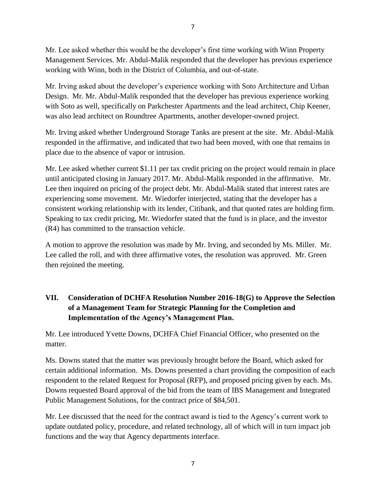Mr. Lee asked whether this would be the developer's first time working with Winn Property Management Services. Mr. Abdul-Malik responded that the developer has previous experience working with Winn, both in the District of Columbia, and out-of-state.

Mr. Irving asked about the developer's experience working with Soto Architecture and Urban Design. Mr. Mr. Abdul-Malik responded that the developer has previous experience working with Soto as well, specifically on Parkchester Apartments and the lead architect, Chip Keener, was also lead architect on Roundtree Apartments, another developer-owned project.

Mr. Irving asked whether Underground Storage Tanks are present at the site. Mr. Abdul-Malik responded in the affirmative, and indicated that two had been moved, with one that remains in place due to the absence of vapor or intrusion.

Mr. Lee asked whether current \$1.11 per tax credit pricing on the project would remain in place until anticipated closing in January 2017. Mr. Abdul-Malik responded in the affirmative. Mr. Lee then inquired on pricing of the project debt. Mr. Abdul-Malik stated that interest rates are experiencing some movement. Mr. Wiedorfer interjected, stating that the developer has a consistent working relationship with its lender, Citibank, and that quoted rates are holding firm. Speaking to tax credit pricing, Mr. Wiedorfer stated that the fund is in place, and the investor (R4) has committed to the transaction vehicle.

A motion to approve the resolution was made by Mr. Irving, and seconded by Ms. Miller. Mr. Lee called the roll, and with three affirmative votes, the resolution was approved. Mr. Green then rejoined the meeting.

## **VII. Consideration of DCHFA Resolution Number 2016-18(G) to Approve the Selection of a Management Team for Strategic Planning for the Completion and Implementation of the Agency's Management Plan.**

Mr. Lee introduced Yvette Downs, DCHFA Chief Financial Officer, who presented on the matter.

Ms. Downs stated that the matter was previously brought before the Board, which asked for certain additional information. Ms. Downs presented a chart providing the composition of each respondent to the related Request for Proposal (RFP), and proposed pricing given by each. Ms. Downs requested Board approval of the bid from the team of IBS Management and Integrated Public Management Solutions, for the contract price of \$84,501.

Mr. Lee discussed that the need for the contract award is tied to the Agency's current work to update outdated policy, procedure, and related technology, all of which will in turn impact job functions and the way that Agency departments interface.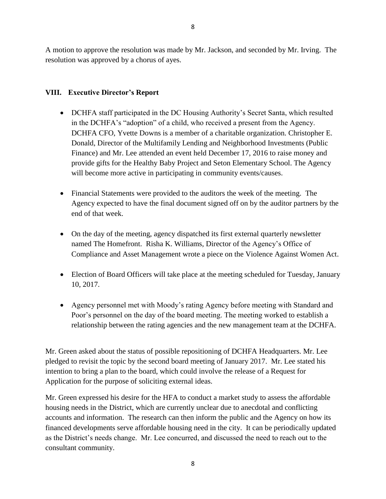A motion to approve the resolution was made by Mr. Jackson, and seconded by Mr. Irving. The resolution was approved by a chorus of ayes.

### **VIII. Executive Director's Report**

- DCHFA staff participated in the DC Housing Authority's Secret Santa, which resulted in the DCHFA's "adoption" of a child, who received a present from the Agency. DCHFA CFO, Yvette Downs is a member of a charitable organization. Christopher E. Donald, Director of the Multifamily Lending and Neighborhood Investments (Public Finance) and Mr. Lee attended an event held December 17, 2016 to raise money and provide gifts for the Healthy Baby Project and Seton Elementary School. The Agency will become more active in participating in community events/causes.
- Financial Statements were provided to the auditors the week of the meeting. The Agency expected to have the final document signed off on by the auditor partners by the end of that week.
- On the day of the meeting, agency dispatched its first external quarterly newsletter named The Homefront. Risha K. Williams, Director of the Agency's Office of Compliance and Asset Management wrote a piece on the Violence Against Women Act.
- Election of Board Officers will take place at the meeting scheduled for Tuesday, January 10, 2017.
- Agency personnel met with Moody's rating Agency before meeting with Standard and Poor's personnel on the day of the board meeting. The meeting worked to establish a relationship between the rating agencies and the new management team at the DCHFA.

Mr. Green asked about the status of possible repositioning of DCHFA Headquarters. Mr. Lee pledged to revisit the topic by the second board meeting of January 2017. Mr. Lee stated his intention to bring a plan to the board, which could involve the release of a Request for Application for the purpose of soliciting external ideas.

Mr. Green expressed his desire for the HFA to conduct a market study to assess the affordable housing needs in the District, which are currently unclear due to anecdotal and conflicting accounts and information. The research can then inform the public and the Agency on how its financed developments serve affordable housing need in the city. It can be periodically updated as the District's needs change. Mr. Lee concurred, and discussed the need to reach out to the consultant community.